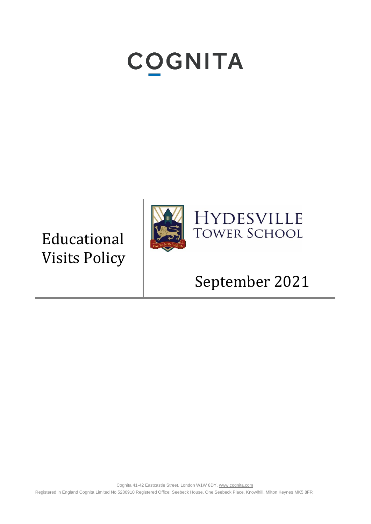# **COGNITA**

## Educational Visits Policy



## September 2021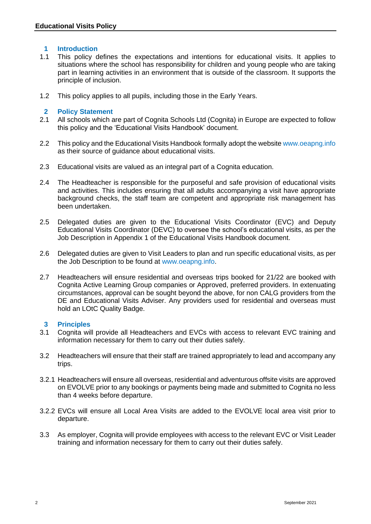#### **1 Introduction**

- 1.1 This policy defines the expectations and intentions for educational visits. It applies to situations where the school has responsibility for children and young people who are taking part in learning activities in an environment that is outside of the classroom. It supports the principle of inclusion.
- 1.2 This policy applies to all pupils, including those in the Early Years.

#### **2 Policy Statement**

- 2.1 All schools which are part of Cognita Schools Ltd (Cognita) in Europe are expected to follow this policy and the 'Educational Visits Handbook' document.
- 2.2 This policy and the Educational Visits Handbook formally adopt the website [www.oeapng.info](http://www.oeapng.info/) as their source of guidance about educational visits.
- 2.3 Educational visits are valued as an integral part of a Cognita education.
- 2.4 The Headteacher is responsible for the purposeful and safe provision of educational visits and activities. This includes ensuring that all adults accompanying a visit have appropriate background checks, the staff team are competent and appropriate risk management has been undertaken.
- 2.5 Delegated duties are given to the Educational Visits Coordinator (EVC) and Deputy Educational Visits Coordinator (DEVC) to oversee the school's educational visits, as per the Job Description in Appendix 1 of the Educational Visits Handbook document.
- 2.6 Delegated duties are given to Visit Leaders to plan and run specific educational visits, as per the Job Description to be found at [www.oeapng.info.](http://www.oeapng.info/)
- 2.7 Headteachers will ensure residential and overseas trips booked for 21/22 are booked with Cognita Active Learning Group companies or Approved, preferred providers. In extenuating circumstances, approval can be sought beyond the above, for non CALG providers from the DE and Educational Visits Adviser. Any providers used for residential and overseas must hold an LOtC Quality Badge.

#### **3 Principles**

- 3.1 Cognita will provide all Headteachers and EVCs with access to relevant EVC training and information necessary for them to carry out their duties safely.
- 3.2 Headteachers will ensure that their staff are trained appropriately to lead and accompany any trips.
- 3.2.1 Headteachers will ensure all overseas, residential and adventurous offsite visits are approved on EVOLVE prior to any bookings or payments being made and submitted to Cognita no less than 4 weeks before departure.
- 3.2.2 EVCs will ensure all Local Area Visits are added to the EVOLVE local area visit prior to departure.
- 3.3 As employer, Cognita will provide employees with access to the relevant EVC or Visit Leader training and information necessary for them to carry out their duties safely.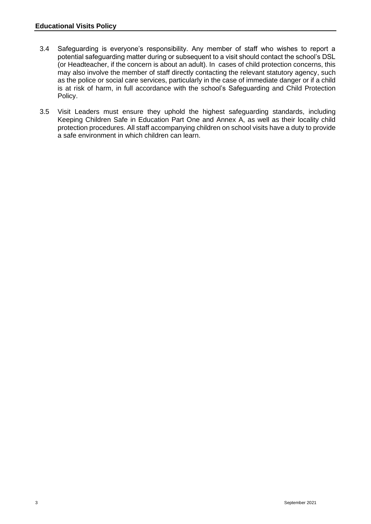- 3.4 Safeguarding is everyone's responsibility. Any member of staff who wishes to report a potential safeguarding matter during or subsequent to a visit should contact the school's DSL (or Headteacher, if the concern is about an adult). In cases of child protection concerns, this may also involve the member of staff directly contacting the relevant statutory agency, such as the police or social care services, particularly in the case of immediate danger or if a child is at risk of harm, in full accordance with the school's Safeguarding and Child Protection Policy.
- 3.5 Visit Leaders must ensure they uphold the highest safeguarding standards, including Keeping Children Safe in Education Part One and Annex A, as well as their locality child protection procedures. All staff accompanying children on school visits have a duty to provide a safe environment in which children can learn.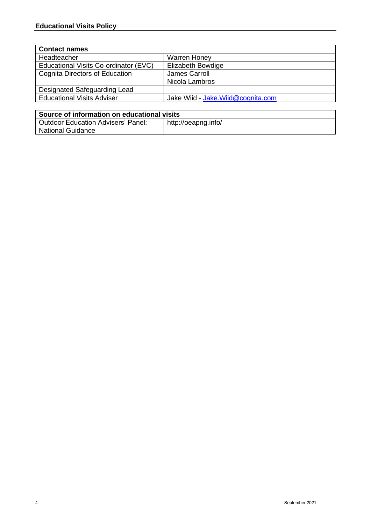| <b>Contact names</b>                  |                                    |  |
|---------------------------------------|------------------------------------|--|
| Headteacher                           | <b>Warren Honey</b>                |  |
| Educational Visits Co-ordinator (EVC) | Elizabeth Bowdige                  |  |
| <b>Cognita Directors of Education</b> | James Carroll                      |  |
|                                       | Nicola Lambros                     |  |
| Designated Safeguarding Lead          |                                    |  |
| <b>Educational Visits Adviser</b>     | Jake Wiid - Jake. Wiid@cognita.com |  |
|                                       |                                    |  |

| Source of information on educational visits |                     |  |
|---------------------------------------------|---------------------|--|
| l Outdoor Education Advisers' Panel:        | http://oeapng.info/ |  |
| <b>National Guidance</b>                    |                     |  |